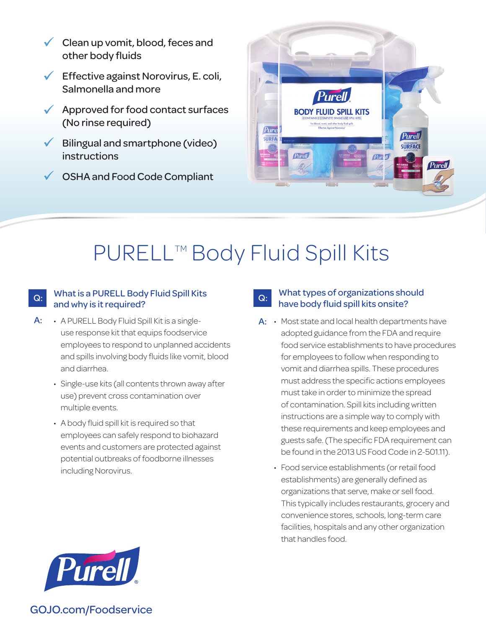- $\checkmark$  Clean up vomit, blood, feces and other body fluids
- $\sqrt{\phantom{a}}$  Effective against Norovirus, E. coli, Salmonella and more
- $\sqrt{\phantom{a}}$  Approved for food contact surfaces (No rinse required)
- $\checkmark$  Bilingual and smartphone (video) instructions
- **✓ OSHA and Food Code Compliant**



# PURELL™ Body Fluid Spill Kits

#### What is a PURELL Body Fluid Spill Kits  $Q:$  What is a PURELL BOO<sub>)</sub><br>and why is it required?

- A PURELL Body Fluid Spill Kit is a singleuse response kit that equips foodservice employees to respond to unplanned accidents and spills involving body fluids like vomit, blood and diarrhea. A:
	- Single-use kits (all contents thrown away after use) prevent cross contamination over multiple events.
	- A body fluid spill kit is required so that employees can safely respond to biohazard events and customers are protected against potential outbreaks of foodborne illnesses including Norovirus.

### What types of organizations should Q: What types of organizations she<br>have body fluid spill kits onsite?

- A: Most state and local health departments have adopted guidance from the FDA and require food service establishments to have procedures for employees to follow when responding to vomit and diarrhea spills. These procedures must address the specific actions employees must take in order to minimize the spread of contamination. Spill kits including written instructions are a simple way to comply with these requirements and keep employees and guests safe. (The specific FDA requirement can be found in the 2013 US Food Code in 2-501.11).
	- Food service establishments (or retail food establishments) are generally defined as organizations that serve, make or sell food. This typically includes restaurants, grocery and convenience stores, schools, long-term care facilities, hospitals and any other organization that handles food.



GOJO.com/Foodservice